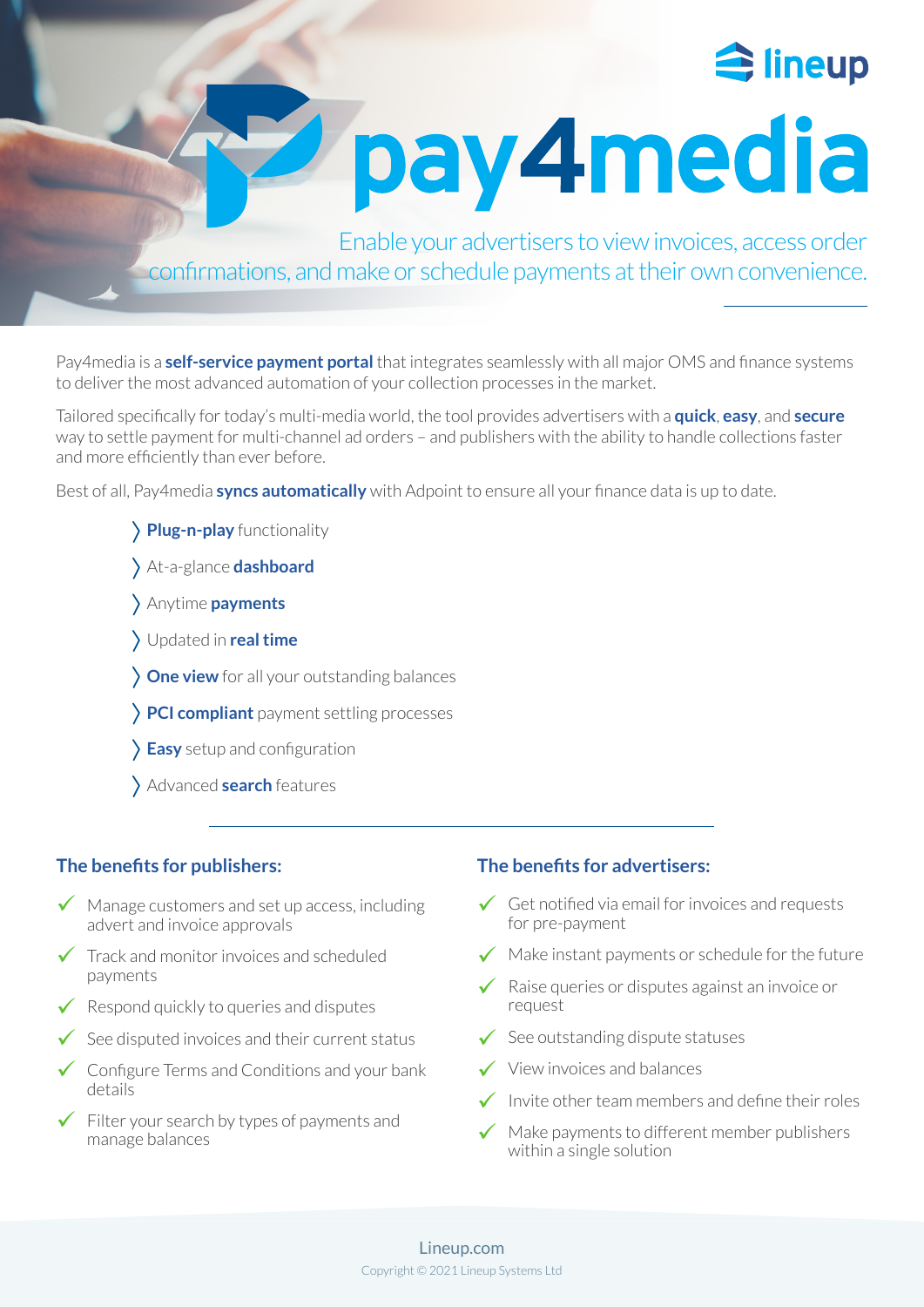

pay4media

Enable your advertisers to view invoices, access order confirmations, and make or schedule payments at their own convenience.

Pay4media is a **self-service payment portal** that integrates seamlessly with all major OMS and finance systems to deliver the most advanced automation of your collection processes in the market.

Tailored specifically for today's multi-media world, the tool provides advertisers with a **quick**, **easy**, and **secure** way to settle payment for multi-channel ad orders – and publishers with the ability to handle collections faster and more efficiently than ever before.

Best of all, Pay4media **syncs automatically** with Adpoint to ensure all your finance data is up to date.

- **Plug-n-play** functionality
- At-a-glance **dashboard**
- Anytime **payments**
- Updated in **real time**
- **One view** for all your outstanding balances
- **PCI compliant** payment settling processes
- **Easy** setup and configuration
- Advanced **search** features

# **The benefits for publishers:**

- $\checkmark$  Manage customers and set up access, including  $\checkmark$ advert and invoice approvals
- $\checkmark$  Track and monitor invoices and scheduled payments
- $\checkmark$  Respond quickly to queries and disputes
- $\checkmark$  See disputed invoices and their current status  $\checkmark$
- $\checkmark$  Configure Terms and Conditions and your bank  $\checkmark$ details
- $\checkmark$  Filter your search by types of payments and manage balances

### **The benefits for advertisers:**

- Get notified via email for invoices and requests for pre-payment
- $\sqrt{\phantom{a}}$  Make instant payments or schedule for the future
- Raise queries or disputes against an invoice or request  $\checkmark$
- $\checkmark$  See outstanding dispute statuses
- View invoices and balances
- Invite other team members and define their roles  $\checkmark$
- Make payments to different member publishers within a single solution  $\checkmark$